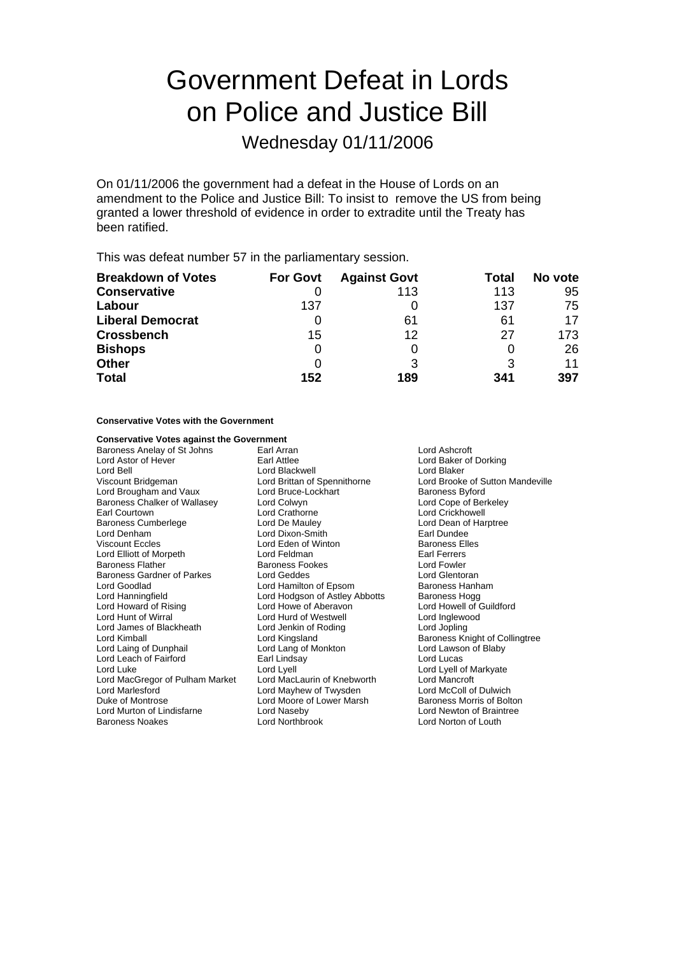# Government Defeat in Lords on Police and Justice Bill

Wednesday 01/11/2006

On 01/11/2006 the government had a defeat in the House of Lords on an amendment to the Police and Justice Bill: To insist to remove the US from being granted a lower threshold of evidence in order to extradite until the Treaty has been ratified.

This was defeat number 57 in the parliamentary session.

| <b>Breakdown of Votes</b> | <b>For Govt</b> | <b>Against Govt</b> | Total | No vote |
|---------------------------|-----------------|---------------------|-------|---------|
| <b>Conservative</b>       |                 | 113                 | 113   | 95      |
| Labour                    | 137             |                     | 137   | 75      |
| <b>Liberal Democrat</b>   |                 | 61                  | 61    | 17      |
| <b>Crossbench</b>         | 15              | 12                  | 27    | 173.    |
| <b>Bishops</b>            | 0               |                     |       | 26      |
| <b>Other</b>              | O               | 3                   |       | 11      |
| <b>Total</b>              | 152             | 189                 | 341   | 397     |

### **Conservative Votes with the Government**

### **Conservative Votes against the Government**<br>**Baroness Anelay of St Johns Earl Arran**

Baroness Anelay of St Johns Earl Arran Earl Arran Cord Ashcroft<br>
Earl Attlee Cord Astor of Hever of Earl Attlee Earl Attlee Lord Bell Lord Blackwell Lord Blaker Lord Brougham and Vaux Lord Bruce-Lockhart Baroness Byford<br>
Baroness Chalker of Wallasey Lord Colwyn Columbus Lord Cope of Berkeley Baroness Chalker of Wallasey Earl Courtown **Lord Crathorne**<br>
Earl Courtown Lord Crickhowell<br>
Lord Crathorne Lord De Mauley<br>
Lord Crathorne Lord Crathorne Lord Dean of Hai Lord Denham Lord Dixon-Smith Earl Dundee Viscount Eccles **Communist Control Control** Lord Eden of Winton **Baroness Elles**<br>
Lord Elliott of Morpeth **Baroness** Lord Feldman Lord Elliott of Morpeth **Earl Ferrers**<br>
Baroness Flather **Baroness Fookes** Earl Ferrers<br>
Lord Fowler Baroness Gardner of Parkes Lord Goodlad **Lord Hamilton of Epsom** Baroness Hanham<br>
Lord Hanningfield Lord Hodgson of Astley Abbotts Baroness Hogg Lord Hanningfield Lord Hodgson of Astley Abbotts Baroness Hogg<br>
Lord Howard of Rising Lord Howe of Aberayon Lord Howell of Guildford Lord Hunt of Wirral **Lord Hurd of Westwell** Lord Hurd of Westwell Lord James of Blackheath Lord Jenkin of Roding Lord Jopling Lord James of Blackheath Lord Jenkin of I<br>Lord Kimball **Lord Cording Lord Algebr** Lord Laing of Dunphail Lord Lang of Monkton<br>
Lord Leach of Fairford<br>
Earl Lindsay Lord Leach of Fairford **Earl Linds ay Lord Lucas** Earl Linds ay Lord Lucas Lord Luke Lord Lyell Lord Lyell Lord Lyell Lord Lyell Lord Lyell Lord Lyell of Markyate<br>Lord MacGregor of Pulham Market Lord MacL aurin of Knebworth Lord Mancroft Lord MacGregor of Pulham Market Lord Marlesford **Lord Mayhew of Twysden** Lord McColl of Dulwich<br>
Duke of Montrose **Lord Moore of Lower Marsh** Baroness Morris of Bolton Lord Murton of Lindisfarne Lord Naseby Lord Newton of Braintree<br>
Baroness Noakes Lord Northbrook Lord Newton of Louth

Baroness Fookes **Exercise Exercise Search Footer Lord Fowler**<br> **Exercise Lord Glentoran** Lord Howe of Aberavon Lord Moore of Lower Marsh

Lord Baker of Dorking Lord Brittan of Spennithorne Lord Brooke of Sutton Mandeville<br>
Lord Bruce-Lockhart Baroness Byford Lord Dean of Harptree Baroness Knight of Collingtree<br>Lord Lawson of Blaby Lord Norton of Louth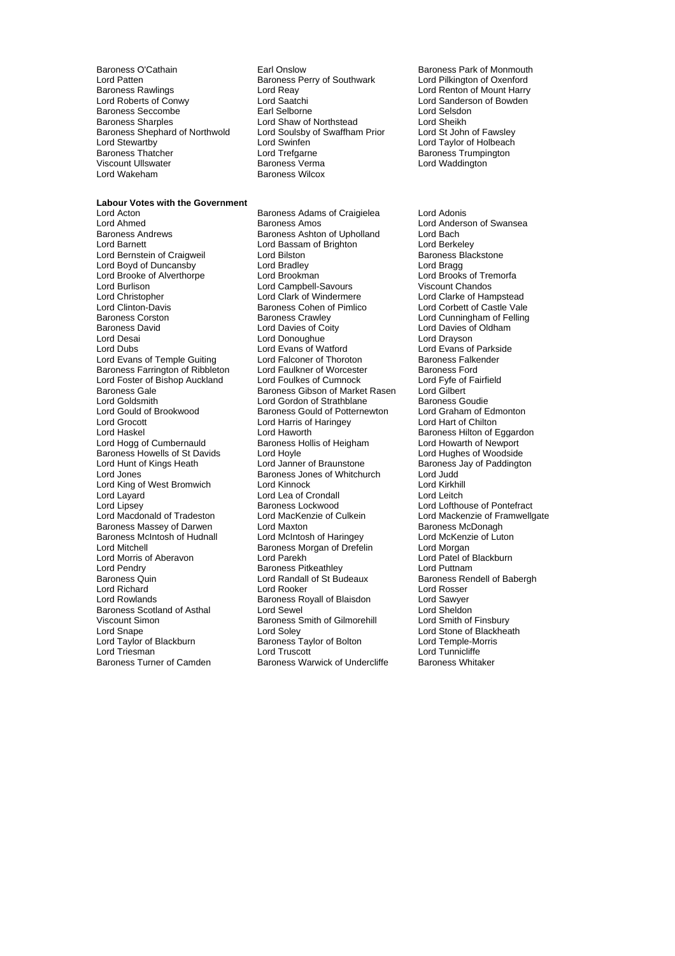Baroness O'Cathain **Earl Onslow** Earl Onslow Baroness Park of Monmouth<br>
Lord Patten **Earl Onslow Baroness Perry of Southwark** Lord Pilkington of Oxenford Baroness Rawlings **Example 2** Lord Reay **Lord Renton of Mount Harry Lord Renton of Mount Harry Lord Renton of Mount Harry Lord Renton of Bowden** Baroness Seccombe <sup>1</sup> 1999 Earl Selborne 1999 Earl Selsdon<br>Baroness Sharoles 1999 Lord Shaw of Northstead 1999 Lord Sheikh Baroness Shephard of Northwold Lord Soulsby<br>
Lord Stewartby Lord Stewartby Lord Stewartby Lord Stewartby **Lord Swinfen** Lord Swinfen Lord Taylor of Holbeach<br>
Baroness Thatcher **Lord Trefgarne** Lord Trefgarne **Baroness Trumpington** Baroness Thatcher **Example 2** Lord Trefgarne **Baroness Trumpington**<br>
Viscount Ullswater **Baroness Verma** Baroness Verma Lord Wakeham Baroness Wilcox

Baroness Perry of Southwark Lord Saatchi **Lord Saatchi Lord Sanderson of Bowden**<br>
Lord Selsdon<br>
Lord Selsdon Lord Shaw of Northstead<br>
Lord Soulsby of Swaffham Prior Lord St John of Fawsley

Lord Waddington

### **Labour Votes with the Government**<br>**Lord Acton**

Lord Brooke of Alverthorpe **Fig. 2018** Lord Brookman Lord Clinton-Davis<br>
Lord Clinton-Davis<br>
Baroness Corston Baroness Crawley Baroness Howells of St Davids<br>
Lord Hunt of Kings Heath<br>
Lord Janner of Braunstone Lord Pendry **Community Community**<br>
Baroness Quin **Community Community Community Community**<br>
Lord Randall of St Budeaux Lord Richard Viscount Simon **Baroness Smith of Gilmorehill** Baroness Smith of Gilmorehill Lord Sniev

Lord Acton Baroness Adams of Craigielea Lord Adonis Lord Ahmed<br>
Baroness Andrews<br>
Baroness Ashton of Upholland<br>
Lord Bach<br>
Lord Bach Baroness Ashton of Upholland Lord Barnett **Lord Bassam of Brighton** Lord Berkeley<br>
Lord Bernstein of Craigweil **Lord Bilston** Lord Bilston **Commence** Blackstone Lord Bernstein of Craigweil interest and Britannian Baroness B<br>
Lord Boyd of Duncansby **Example Baroness Blackstone Baroness Branch**<br>
Lord Bragg Lord Boyd of Duncansby Lord Bradley Lord Bragg Lord Burlison **Lord Campbell-Savours** Viscount Chandos<br>
Lord Christopher **Lord Clark Clark of Windermere** Lord Clarke of Hampstead Lord Christopher **Lord Clark of Windermere** Lord Clarke of Hampstead<br>Lord Clinton-Davis **Colomet Clare Container Colomet Clare Clare Clare Clare Clare Clare Clare Clare** Baroness Corston **Baroness Crawley** Caroness Crawley **Lord Cunningham of Felling**<br>
Baroness David **Corporation Corporation** Lord Davies of Oldham Baroness David Lord Davies of Coity Lord Davies of Oldham Lord Desai Lord Donoughue Lord Drayson Lord Evans of Watford Lord Evans of Temple Guiting Lord Falconer of Thoroton Baroness Falkender<br>
Baroness Farrington of Ribbleton Lord Faulkner of Worcester Baroness Ford Baroness Farrington of Ribbleton Lord Faulkner of Worcester Baroness Ford<br>Lord Foster of Bishop Auckland Lord Foulkes of Cumnock Lord Fyfe of Fairfield Lord Foster of Bishop Auckland Lord Foulkes of Cumnock Lord For Lord Fyfe of Baroness Gale Cumnock Lord Gilbert Baroness Gale **Baroness Gibson of Market Rasen** Lord Goldsmith **Lord Gordon of Strathblane** Baroness Goudie<br> **Lord Gould of Brookwood** Baroness Gould of Potternewton Lord Graham of Edmonton Lord Gould of Brookwood Baroness Gould of Potternewton Lord Graham of Edmontal Cord Graham of Edmonton Lord Har<br>Lord Grocott Lord Harris of Haringey Lord Hart of Chilton Lord Harris of Haringey Lord Haskel Lord Haworth Lord Haworth Baroness Hilton of Eggardon<br>
Lord Hogg of Cumbernauld Baroness Hollis of Heigham Lord Howarth of Newport Exaroness Hollis of Heigham Lord Howarth of Newport<br>
Lord Howle Lord Hughes of Woodside Lord Jones **Baroness Jones of Whitchurch** Lord Judd<br>
Lord King of West Bromwich **Replaces** Lord Kinnock **Lord King of Metal** Lord Kirkhill Lord King of West Bromwich Lord Kinnock Lord Kirkhill Lord Lea of Crondall Lord Lipsey **Baroness Lockwood** Lord Lofthouse of Pontefract<br>
Lord Macdonald of Tradeston Lord MacKenzie of Culkein Lord Mackenzie of Framwellg Lord MacKenzie of Culkein Lord Mackenzie of Framwellgate<br>
Lord Maxton Culkein Baroness McDonagh Baroness Massey of Darwen Lord Maxton Lord Maxton Baroness McDonagh<br>Baroness McIntosh of Hudnall Lord McIntosh of Haringey Lord McKenzie of Luton Lord McIntosh of Haringey Lord Mitchell<br>
Lord Morris of Aberavon Lord Parekh Lord Patel of Blackburn Lord Morris of Aberavon Lord Parekh Lord Parekh Lord Parel of Blackburn Lord Parel of Blackburn Lord Puttnam<br>Lord Pendry Blackburn Baroness Pitkeathley Lord Puttnam Lord Randall of St Budeaux Baroness Rendell of Babergh<br>
Lord Rooker Lord Rosser Lord Rowlands **Baroness Royall of Blaisdon** Cord Sawyer<br>Baroness Scotland of Asthal **Baroness Lord Sewel** Cord Scotland Cord Sheldon Baroness Scotland of Asthal Lord Sewel Lord Silmorehill Lord Sheldon<br>
Viscount Simon Company Baroness Smith of Gilmorehill Lord Smith of Finsbury Lord Snape Lord Soley Cord Soley Cord Stone of Blackheath<br>
Lord Taylor of Blackburn Baroness Taylor of Bolton Lord Temple-Morris Exaroness Taylor of Bolton Lord Temple-Morris Carolic Lord Temple-Morris Lord Temple-Morris Lord Tunnicliffe Lord Triesman Lord Truscott Lord Tunnicliffe Baroness Warwick of Undercliffe

Baroness Jay of Paddington